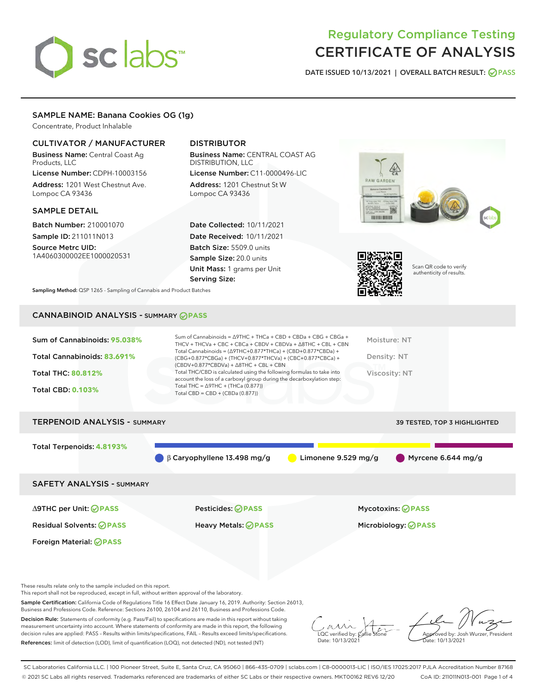# sclabs<sup>\*</sup>

# Regulatory Compliance Testing CERTIFICATE OF ANALYSIS

DATE ISSUED 10/13/2021 | OVERALL BATCH RESULT: @ PASS

# SAMPLE NAME: Banana Cookies OG (1g)

Concentrate, Product Inhalable

# CULTIVATOR / MANUFACTURER

Business Name: Central Coast Ag Products, LLC

License Number: CDPH-10003156 Address: 1201 West Chestnut Ave. Lompoc CA 93436

#### SAMPLE DETAIL

Batch Number: 210001070 Sample ID: 211011N013

Source Metrc UID: 1A4060300002EE1000020531

# DISTRIBUTOR

Business Name: CENTRAL COAST AG DISTRIBUTION, LLC License Number: C11-0000496-LIC

Address: 1201 Chestnut St W Lompoc CA 93436

Date Collected: 10/11/2021 Date Received: 10/11/2021 Batch Size: 5509.0 units Sample Size: 20.0 units Unit Mass: 1 grams per Unit Serving Size:





Scan QR code to verify authenticity of results.

Sampling Method: QSP 1265 - Sampling of Cannabis and Product Batches

# CANNABINOID ANALYSIS - SUMMARY **PASS**

| Sum of Cannabinoids: 95.038%<br>Total Cannabinoids: 83.691%<br><b>Total THC: 80.812%</b><br><b>Total CBD: 0.103%</b> | Sum of Cannabinoids = $\triangle$ 9THC + THCa + CBD + CBDa + CBG + CBGa +<br>THCV + THCVa + CBC + CBCa + CBDV + CBDVa + $\Delta$ 8THC + CBL + CBN<br>Total Cannabinoids = $(\Delta$ 9THC+0.877*THCa) + (CBD+0.877*CBDa) +<br>(CBG+0.877*CBGa) + (THCV+0.877*THCVa) + (CBC+0.877*CBCa) +<br>$(CBDV+0.877*CBDVa) + \Delta 8THC + CBL + CBN$<br>Total THC/CBD is calculated using the following formulas to take into<br>account the loss of a carboxyl group during the decarboxylation step:<br>Total THC = $\triangle$ 9THC + (THCa (0.877))<br>Total CBD = $CBD + (CBDa (0.877))$ | Moisture: NT<br>Density: NT<br>Viscosity: NT |
|----------------------------------------------------------------------------------------------------------------------|------------------------------------------------------------------------------------------------------------------------------------------------------------------------------------------------------------------------------------------------------------------------------------------------------------------------------------------------------------------------------------------------------------------------------------------------------------------------------------------------------------------------------------------------------------------------------------|----------------------------------------------|
| <b>TERPENOID ANALYSIS - SUMMARY</b>                                                                                  |                                                                                                                                                                                                                                                                                                                                                                                                                                                                                                                                                                                    | 39 TESTED, TOP 3 HIGHLIGHTED                 |
| Total Terpenoids: 4.8193%                                                                                            | $\beta$ Caryophyllene 13.498 mg/g<br>Limonene $9.529$ mg/g                                                                                                                                                                                                                                                                                                                                                                                                                                                                                                                         | $\blacksquare$ Myrcene 6.644 mg/g            |
| <b>SAFETY ANALYSIS - SUMMARY</b>                                                                                     |                                                                                                                                                                                                                                                                                                                                                                                                                                                                                                                                                                                    |                                              |

∆9THC per Unit: **PASS** Pesticides: **PASS** Mycotoxins: **PASS**

Foreign Material: **PASS**

Residual Solvents: **PASS** Heavy Metals: **PASS** Microbiology: **PASS**

These results relate only to the sample included on this report.

This report shall not be reproduced, except in full, without written approval of the laboratory.

Sample Certification: California Code of Regulations Title 16 Effect Date January 16, 2019. Authority: Section 26013, Business and Professions Code. Reference: Sections 26100, 26104 and 26110, Business and Professions Code.

Decision Rule: Statements of conformity (e.g. Pass/Fail) to specifications are made in this report without taking measurement uncertainty into account. Where statements of conformity are made in this report, the following decision rules are applied: PASS – Results within limits/specifications, FAIL – Results exceed limits/specifications. References: limit of detection (LOD), limit of quantification (LOQ), not detected (ND), not tested (NT)

 $\overline{\text{LOC}}$  verified by:  $\mathcal{C}_i$ Date: 10/13/2021

Approved by: Josh Wurzer, President Date: 10/13/2021

SC Laboratories California LLC. | 100 Pioneer Street, Suite E, Santa Cruz, CA 95060 | 866-435-0709 | sclabs.com | C8-0000013-LIC | ISO/IES 17025:2017 PJLA Accreditation Number 87168 © 2021 SC Labs all rights reserved. Trademarks referenced are trademarks of either SC Labs or their respective owners. MKT00162 REV6 12/20 CoA ID: 211011N013-001 Page 1 of 4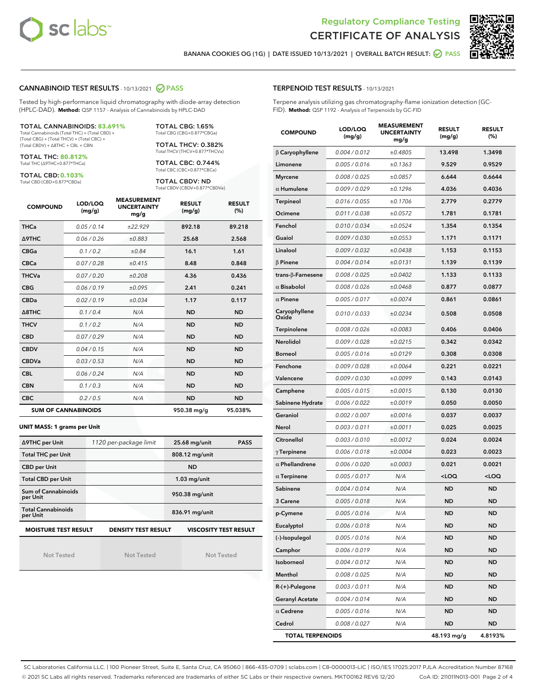



BANANA COOKIES OG (1G) | DATE ISSUED 10/13/2021 | OVERALL BATCH RESULT:  $\bigcirc$  PASS

#### CANNABINOID TEST RESULTS - 10/13/2021 2 PASS

Tested by high-performance liquid chromatography with diode-array detection (HPLC-DAD). **Method:** QSP 1157 - Analysis of Cannabinoids by HPLC-DAD

#### TOTAL CANNABINOIDS: **83.691%**

Total Cannabinoids (Total THC) + (Total CBD) + (Total CBG) + (Total THCV) + (Total CBC) + (Total CBDV) + ∆8THC + CBL + CBN

TOTAL THC: **80.812%** Total THC (∆9THC+0.877\*THCa)

TOTAL CBD: **0.103%**

Total CBD (CBD+0.877\*CBDa)

TOTAL CBG: 1.65% Total CBG (CBG+0.877\*CBGa)

TOTAL THCV: 0.382% Total THCV (THCV+0.877\*THCVa)

TOTAL CBC: 0.744% Total CBC (CBC+0.877\*CBCa)

TOTAL CBDV: ND Total CBDV (CBDV+0.877\*CBDVa)

| <b>COMPOUND</b> | LOD/LOQ<br>(mg/g)          | <b>MEASUREMENT</b><br><b>UNCERTAINTY</b><br>mg/g | <b>RESULT</b><br>(mg/g) | <b>RESULT</b><br>(%) |
|-----------------|----------------------------|--------------------------------------------------|-------------------------|----------------------|
| <b>THCa</b>     | 0.05/0.14                  | ±22.929                                          | 892.18                  | 89.218               |
| <b>A9THC</b>    | 0.06 / 0.26                | ±0.883                                           | 25.68                   | 2.568                |
| <b>CBGa</b>     | 0.1/0.2                    | ±0.84                                            | 16.1                    | 1.61                 |
| <b>CBCa</b>     | 0.07 / 0.28                | ±0.415                                           | 8.48                    | 0.848                |
| <b>THCVa</b>    | 0.07/0.20                  | ±0.208                                           | 4.36                    | 0.436                |
| <b>CBG</b>      | 0.06/0.19                  | ±0.095                                           | 2.41                    | 0.241                |
| <b>CBDa</b>     | 0.02/0.19                  | ±0.034                                           | 1.17                    | 0.117                |
| A8THC           | 0.1/0.4                    | N/A                                              | <b>ND</b>               | <b>ND</b>            |
| <b>THCV</b>     | 0.1/0.2                    | N/A                                              | <b>ND</b>               | <b>ND</b>            |
| <b>CBD</b>      | 0.07/0.29                  | N/A                                              | <b>ND</b>               | <b>ND</b>            |
| <b>CBDV</b>     | 0.04 / 0.15                | N/A                                              | <b>ND</b>               | <b>ND</b>            |
| <b>CBDVa</b>    | 0.03/0.53                  | N/A                                              | <b>ND</b>               | <b>ND</b>            |
| <b>CBL</b>      | 0.06 / 0.24                | N/A                                              | <b>ND</b>               | <b>ND</b>            |
| <b>CBN</b>      | 0.1/0.3                    | N/A                                              | <b>ND</b>               | <b>ND</b>            |
| <b>CBC</b>      | 0.2 / 0.5                  | N/A                                              | <b>ND</b>               | <b>ND</b>            |
|                 | <b>SUM OF CANNABINOIDS</b> |                                                  | 950.38 mg/g             | 95.038%              |

#### **UNIT MASS: 1 grams per Unit**

| ∆9THC per Unit                                                                            | 1120 per-package limit | 25.68 mg/unit<br><b>PASS</b> |  |  |  |
|-------------------------------------------------------------------------------------------|------------------------|------------------------------|--|--|--|
| <b>Total THC per Unit</b>                                                                 |                        | 808.12 mg/unit               |  |  |  |
| <b>CBD per Unit</b>                                                                       |                        | <b>ND</b>                    |  |  |  |
| <b>Total CBD per Unit</b>                                                                 |                        | $1.03$ mg/unit               |  |  |  |
| Sum of Cannabinoids<br>per Unit                                                           |                        | 950.38 mg/unit               |  |  |  |
| <b>Total Cannabinoids</b><br>per Unit                                                     |                        | 836.91 mg/unit               |  |  |  |
| <b>MOISTURE TEST RESULT</b><br><b>VISCOSITY TEST RESULT</b><br><b>DENSITY TEST RESULT</b> |                        |                              |  |  |  |

Not Tested

Not Tested

Not Tested

| <b>TERPENOID TEST RESULTS - 10/13/2021</b> |
|--------------------------------------------|
|--------------------------------------------|

Terpene analysis utilizing gas chromatography-flame ionization detection (GC-FID). **Method:** QSP 1192 - Analysis of Terpenoids by GC-FID

| <b>COMPOUND</b>         | LOD/LOQ<br>(mg/g) | <b>MEASUREMENT</b><br><b>UNCERTAINTY</b><br>mg/g | <b>RESULT</b><br>(mg/g)                         | <b>RESULT</b><br>$(\%)$ |
|-------------------------|-------------------|--------------------------------------------------|-------------------------------------------------|-------------------------|
| $\beta$ Caryophyllene   | 0.004 / 0.012     | ±0.4805                                          | 13.498                                          | 1.3498                  |
| Limonene                | 0.005 / 0.016     | ±0.1363                                          | 9.529                                           | 0.9529                  |
| Myrcene                 | 0.008 / 0.025     | ±0.0857                                          | 6.644                                           | 0.6644                  |
| $\alpha$ Humulene       | 0.009 / 0.029     | ±0.1296                                          | 4.036                                           | 0.4036                  |
| <b>Terpineol</b>        | 0.016 / 0.055     | ±0.1706                                          | 2.779                                           | 0.2779                  |
| Ocimene                 | 0.011 / 0.038     | ±0.0572                                          | 1.781                                           | 0.1781                  |
| Fenchol                 | 0.010 / 0.034     | ±0.0524                                          | 1.354                                           | 0.1354                  |
| Guaiol                  | 0.009 / 0.030     | ±0.0553                                          | 1.171                                           | 0.1171                  |
| Linalool                | 0.009 / 0.032     | ±0.0438                                          | 1.153                                           | 0.1153                  |
| $\beta$ Pinene          | 0.004 / 0.014     | ±0.0131                                          | 1.139                                           | 0.1139                  |
| trans-β-Farnesene       | 0.008 / 0.025     | ±0.0402                                          | 1.133                                           | 0.1133                  |
| $\alpha$ Bisabolol      | 0.008 / 0.026     | ±0.0468                                          | 0.877                                           | 0.0877                  |
| $\alpha$ Pinene         | 0.005 / 0.017     | ±0.0074                                          | 0.861                                           | 0.0861                  |
| Caryophyllene<br>Oxide  | 0.010 / 0.033     | ±0.0234                                          | 0.508                                           | 0.0508                  |
| <b>Terpinolene</b>      | 0.008 / 0.026     | ±0.0083                                          | 0.406                                           | 0.0406                  |
| Nerolidol               | 0.009 / 0.028     | ±0.0215                                          | 0.342                                           | 0.0342                  |
| <b>Borneol</b>          | 0.005 / 0.016     | ±0.0129                                          | 0.308                                           | 0.0308                  |
| Fenchone                | 0.009 / 0.028     | ±0.0064                                          | 0.221                                           | 0.0221                  |
| Valencene               | 0.009 / 0.030     | ±0.0099                                          | 0.143                                           | 0.0143                  |
| Camphene                | 0.005 / 0.015     | ±0.0015                                          | 0.130                                           | 0.0130                  |
| Sabinene Hydrate        | 0.006 / 0.022     | ±0.0019                                          | 0.050                                           | 0.0050                  |
| Geraniol                | 0.002 / 0.007     | ±0.0016                                          | 0.037                                           | 0.0037                  |
| Nerol                   | 0.003 / 0.011     | ±0.0011                                          | 0.025                                           | 0.0025                  |
| Citronellol             | 0.003 / 0.010     | ±0.0012                                          | 0.024                                           | 0.0024                  |
| $\gamma$ Terpinene      | 0.006 / 0.018     | ±0.0004                                          | 0.023                                           | 0.0023                  |
| $\alpha$ Phellandrene   | 0.006 / 0.020     | ±0.0003                                          | 0.021                                           | 0.0021                  |
| $\alpha$ Terpinene      | 0.005 / 0.017     | N/A                                              | <loq< th=""><th><loq< th=""></loq<></th></loq<> | <loq< th=""></loq<>     |
| Sabinene                | 0.004 / 0.014     | N/A                                              | <b>ND</b>                                       | <b>ND</b>               |
| 3 Carene                | 0.005 / 0.018     | N/A                                              | <b>ND</b>                                       | <b>ND</b>               |
| p-Cymene                | 0.005 / 0.016     | N/A                                              | <b>ND</b>                                       | <b>ND</b>               |
| Eucalyptol              | 0.006 / 0.018     | N/A                                              | ND                                              | ND                      |
| (-)-Isopulegol          | 0.005 / 0.016     | N/A                                              | <b>ND</b>                                       | ND                      |
| Camphor                 | 0.006 / 0.019     | N/A                                              | ND                                              | ND                      |
| Isoborneol              | 0.004 / 0.012     | N/A                                              | ND                                              | <b>ND</b>               |
| Menthol                 | 0.008 / 0.025     | N/A                                              | ND                                              | ND                      |
| R-(+)-Pulegone          | 0.003 / 0.011     | N/A                                              | ND                                              | ND                      |
| <b>Geranyl Acetate</b>  | 0.004 / 0.014     | N/A                                              | ND                                              | ND                      |
| $\alpha$ Cedrene        | 0.005 / 0.016     | N/A                                              | ND                                              | ND                      |
| Cedrol                  | 0.008 / 0.027     | N/A                                              | <b>ND</b>                                       | <b>ND</b>               |
| <b>TOTAL TERPENOIDS</b> |                   |                                                  | 48.193 mg/g                                     | 4.8193%                 |

SC Laboratories California LLC. | 100 Pioneer Street, Suite E, Santa Cruz, CA 95060 | 866-435-0709 | sclabs.com | C8-0000013-LIC | ISO/IES 17025:2017 PJLA Accreditation Number 87168 © 2021 SC Labs all rights reserved. Trademarks referenced are trademarks of either SC Labs or their respective owners. MKT00162 REV6 12/20 CoA ID: 211011N013-001 Page 2 of 4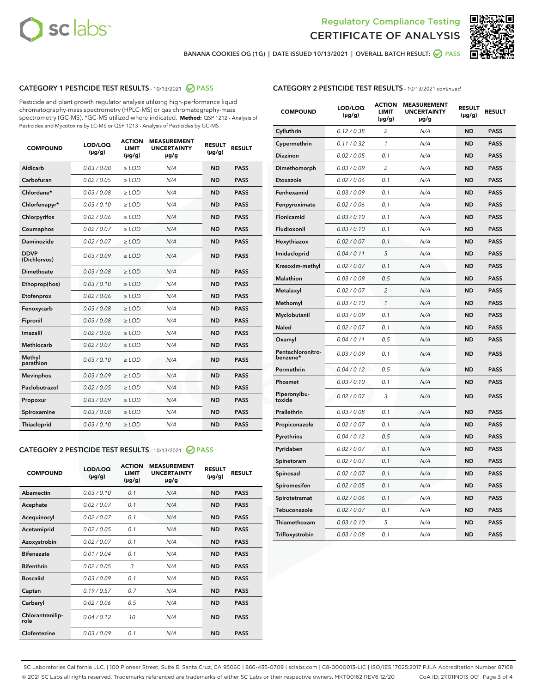



BANANA COOKIES OG (1G) | DATE ISSUED 10/13/2021 | OVERALL BATCH RESULT: @ PASS

# CATEGORY 1 PESTICIDE TEST RESULTS - 10/13/2021 2 PASS

Pesticide and plant growth regulator analysis utilizing high-performance liquid chromatography-mass spectrometry (HPLC-MS) or gas chromatography-mass spectrometry (GC-MS). \*GC-MS utilized where indicated. **Method:** QSP 1212 - Analysis of Pesticides and Mycotoxins by LC-MS or QSP 1213 - Analysis of Pesticides by GC-MS

| <b>Aldicarb</b><br>0.03 / 0.08<br><b>ND</b><br>$\ge$ LOD<br>N/A<br><b>PASS</b><br>Carbofuran<br>0.02/0.05<br>$\ge$ LOD<br>N/A<br><b>ND</b><br><b>PASS</b><br>Chlordane*<br>0.03 / 0.08<br><b>ND</b><br>$>$ LOD<br>N/A<br><b>PASS</b><br>0.03/0.10<br><b>ND</b><br><b>PASS</b><br>Chlorfenapyr*<br>$\ge$ LOD<br>N/A<br>0.02 / 0.06<br>N/A<br><b>ND</b><br><b>PASS</b><br>Chlorpyrifos<br>$\ge$ LOD<br>0.02 / 0.07<br>N/A<br><b>ND</b><br><b>PASS</b><br>Coumaphos<br>$>$ LOD<br><b>Daminozide</b><br>0.02 / 0.07<br>$\ge$ LOD<br>N/A<br><b>ND</b><br><b>PASS</b><br><b>DDVP</b><br>0.03/0.09<br>$\ge$ LOD<br>N/A<br><b>ND</b><br><b>PASS</b><br>(Dichlorvos)<br>Dimethoate<br><b>ND</b><br><b>PASS</b><br>0.03 / 0.08<br>$>$ LOD<br>N/A<br>0.03/0.10<br>Ethoprop(hos)<br>$\ge$ LOD<br>N/A<br><b>ND</b><br><b>PASS</b><br>0.02/0.06<br>$\ge$ LOD<br>N/A<br><b>ND</b><br><b>PASS</b><br>Etofenprox<br>Fenoxycarb<br>0.03 / 0.08<br>$>$ LOD<br>N/A<br><b>ND</b><br><b>PASS</b><br>0.03 / 0.08<br><b>ND</b><br><b>PASS</b><br>Fipronil<br>$\ge$ LOD<br>N/A<br>Imazalil<br>0.02 / 0.06<br>$>$ LOD<br>N/A<br><b>ND</b><br><b>PASS</b><br>0.02 / 0.07<br>Methiocarb<br>N/A<br><b>ND</b><br>$>$ LOD<br><b>PASS</b><br>Methyl<br>0.03/0.10<br>$\ge$ LOD<br>N/A<br><b>ND</b><br><b>PASS</b><br>parathion<br>0.03/0.09<br>$\ge$ LOD<br>N/A<br><b>ND</b><br><b>PASS</b><br><b>Mevinphos</b><br>Paclobutrazol<br>0.02 / 0.05<br>$\ge$ LOD<br>N/A<br><b>ND</b><br><b>PASS</b><br>0.03/0.09<br>N/A<br>$\ge$ LOD<br><b>ND</b><br><b>PASS</b><br>Propoxur<br>0.03 / 0.08<br><b>ND</b><br><b>PASS</b><br>Spiroxamine<br>$\ge$ LOD<br>N/A<br><b>PASS</b><br>Thiacloprid<br>0.03/0.10<br>$\ge$ LOD<br>N/A<br><b>ND</b> | <b>COMPOUND</b> | LOD/LOQ<br>$(\mu g/g)$ | <b>ACTION</b><br>LIMIT<br>$(\mu g/g)$ | <b>MEASUREMENT</b><br><b>UNCERTAINTY</b><br>$\mu$ g/g | <b>RESULT</b><br>$(\mu g/g)$ | <b>RESULT</b> |
|---------------------------------------------------------------------------------------------------------------------------------------------------------------------------------------------------------------------------------------------------------------------------------------------------------------------------------------------------------------------------------------------------------------------------------------------------------------------------------------------------------------------------------------------------------------------------------------------------------------------------------------------------------------------------------------------------------------------------------------------------------------------------------------------------------------------------------------------------------------------------------------------------------------------------------------------------------------------------------------------------------------------------------------------------------------------------------------------------------------------------------------------------------------------------------------------------------------------------------------------------------------------------------------------------------------------------------------------------------------------------------------------------------------------------------------------------------------------------------------------------------------------------------------------------------------------------------------------------------------------------------------------------------------------------------------------------|-----------------|------------------------|---------------------------------------|-------------------------------------------------------|------------------------------|---------------|
|                                                                                                                                                                                                                                                                                                                                                                                                                                                                                                                                                                                                                                                                                                                                                                                                                                                                                                                                                                                                                                                                                                                                                                                                                                                                                                                                                                                                                                                                                                                                                                                                                                                                                                   |                 |                        |                                       |                                                       |                              |               |
|                                                                                                                                                                                                                                                                                                                                                                                                                                                                                                                                                                                                                                                                                                                                                                                                                                                                                                                                                                                                                                                                                                                                                                                                                                                                                                                                                                                                                                                                                                                                                                                                                                                                                                   |                 |                        |                                       |                                                       |                              |               |
|                                                                                                                                                                                                                                                                                                                                                                                                                                                                                                                                                                                                                                                                                                                                                                                                                                                                                                                                                                                                                                                                                                                                                                                                                                                                                                                                                                                                                                                                                                                                                                                                                                                                                                   |                 |                        |                                       |                                                       |                              |               |
|                                                                                                                                                                                                                                                                                                                                                                                                                                                                                                                                                                                                                                                                                                                                                                                                                                                                                                                                                                                                                                                                                                                                                                                                                                                                                                                                                                                                                                                                                                                                                                                                                                                                                                   |                 |                        |                                       |                                                       |                              |               |
|                                                                                                                                                                                                                                                                                                                                                                                                                                                                                                                                                                                                                                                                                                                                                                                                                                                                                                                                                                                                                                                                                                                                                                                                                                                                                                                                                                                                                                                                                                                                                                                                                                                                                                   |                 |                        |                                       |                                                       |                              |               |
|                                                                                                                                                                                                                                                                                                                                                                                                                                                                                                                                                                                                                                                                                                                                                                                                                                                                                                                                                                                                                                                                                                                                                                                                                                                                                                                                                                                                                                                                                                                                                                                                                                                                                                   |                 |                        |                                       |                                                       |                              |               |
|                                                                                                                                                                                                                                                                                                                                                                                                                                                                                                                                                                                                                                                                                                                                                                                                                                                                                                                                                                                                                                                                                                                                                                                                                                                                                                                                                                                                                                                                                                                                                                                                                                                                                                   |                 |                        |                                       |                                                       |                              |               |
|                                                                                                                                                                                                                                                                                                                                                                                                                                                                                                                                                                                                                                                                                                                                                                                                                                                                                                                                                                                                                                                                                                                                                                                                                                                                                                                                                                                                                                                                                                                                                                                                                                                                                                   |                 |                        |                                       |                                                       |                              |               |
|                                                                                                                                                                                                                                                                                                                                                                                                                                                                                                                                                                                                                                                                                                                                                                                                                                                                                                                                                                                                                                                                                                                                                                                                                                                                                                                                                                                                                                                                                                                                                                                                                                                                                                   |                 |                        |                                       |                                                       |                              |               |
|                                                                                                                                                                                                                                                                                                                                                                                                                                                                                                                                                                                                                                                                                                                                                                                                                                                                                                                                                                                                                                                                                                                                                                                                                                                                                                                                                                                                                                                                                                                                                                                                                                                                                                   |                 |                        |                                       |                                                       |                              |               |
|                                                                                                                                                                                                                                                                                                                                                                                                                                                                                                                                                                                                                                                                                                                                                                                                                                                                                                                                                                                                                                                                                                                                                                                                                                                                                                                                                                                                                                                                                                                                                                                                                                                                                                   |                 |                        |                                       |                                                       |                              |               |
|                                                                                                                                                                                                                                                                                                                                                                                                                                                                                                                                                                                                                                                                                                                                                                                                                                                                                                                                                                                                                                                                                                                                                                                                                                                                                                                                                                                                                                                                                                                                                                                                                                                                                                   |                 |                        |                                       |                                                       |                              |               |
|                                                                                                                                                                                                                                                                                                                                                                                                                                                                                                                                                                                                                                                                                                                                                                                                                                                                                                                                                                                                                                                                                                                                                                                                                                                                                                                                                                                                                                                                                                                                                                                                                                                                                                   |                 |                        |                                       |                                                       |                              |               |
|                                                                                                                                                                                                                                                                                                                                                                                                                                                                                                                                                                                                                                                                                                                                                                                                                                                                                                                                                                                                                                                                                                                                                                                                                                                                                                                                                                                                                                                                                                                                                                                                                                                                                                   |                 |                        |                                       |                                                       |                              |               |
|                                                                                                                                                                                                                                                                                                                                                                                                                                                                                                                                                                                                                                                                                                                                                                                                                                                                                                                                                                                                                                                                                                                                                                                                                                                                                                                                                                                                                                                                                                                                                                                                                                                                                                   |                 |                        |                                       |                                                       |                              |               |
|                                                                                                                                                                                                                                                                                                                                                                                                                                                                                                                                                                                                                                                                                                                                                                                                                                                                                                                                                                                                                                                                                                                                                                                                                                                                                                                                                                                                                                                                                                                                                                                                                                                                                                   |                 |                        |                                       |                                                       |                              |               |
|                                                                                                                                                                                                                                                                                                                                                                                                                                                                                                                                                                                                                                                                                                                                                                                                                                                                                                                                                                                                                                                                                                                                                                                                                                                                                                                                                                                                                                                                                                                                                                                                                                                                                                   |                 |                        |                                       |                                                       |                              |               |
|                                                                                                                                                                                                                                                                                                                                                                                                                                                                                                                                                                                                                                                                                                                                                                                                                                                                                                                                                                                                                                                                                                                                                                                                                                                                                                                                                                                                                                                                                                                                                                                                                                                                                                   |                 |                        |                                       |                                                       |                              |               |
|                                                                                                                                                                                                                                                                                                                                                                                                                                                                                                                                                                                                                                                                                                                                                                                                                                                                                                                                                                                                                                                                                                                                                                                                                                                                                                                                                                                                                                                                                                                                                                                                                                                                                                   |                 |                        |                                       |                                                       |                              |               |
|                                                                                                                                                                                                                                                                                                                                                                                                                                                                                                                                                                                                                                                                                                                                                                                                                                                                                                                                                                                                                                                                                                                                                                                                                                                                                                                                                                                                                                                                                                                                                                                                                                                                                                   |                 |                        |                                       |                                                       |                              |               |
|                                                                                                                                                                                                                                                                                                                                                                                                                                                                                                                                                                                                                                                                                                                                                                                                                                                                                                                                                                                                                                                                                                                                                                                                                                                                                                                                                                                                                                                                                                                                                                                                                                                                                                   |                 |                        |                                       |                                                       |                              |               |

#### CATEGORY 2 PESTICIDE TEST RESULTS - 10/13/2021 @ PASS

| <b>COMPOUND</b>          | LOD/LOO<br>$(\mu g/g)$ | <b>ACTION</b><br>LIMIT<br>$(\mu g/g)$ | <b>MEASUREMENT</b><br><b>UNCERTAINTY</b><br>µg/g | <b>RESULT</b><br>$(\mu g/g)$ | <b>RESULT</b> |  |
|--------------------------|------------------------|---------------------------------------|--------------------------------------------------|------------------------------|---------------|--|
| Abamectin                | 0.03/0.10              | 0.1                                   | N/A                                              | <b>ND</b>                    | <b>PASS</b>   |  |
| Acephate                 | 0.02/0.07              | 0.1                                   | N/A                                              | <b>ND</b>                    | <b>PASS</b>   |  |
| Acequinocyl              | 0.02/0.07              | 0.1                                   | N/A                                              | <b>ND</b>                    | <b>PASS</b>   |  |
| Acetamiprid              | 0.02 / 0.05            | 0.1                                   | N/A                                              | <b>ND</b>                    | <b>PASS</b>   |  |
| Azoxystrobin             | 0.02/0.07              | 0.1                                   | N/A                                              | <b>ND</b>                    | <b>PASS</b>   |  |
| <b>Bifenazate</b>        | 0.01 / 0.04            | 0.1                                   | N/A                                              | <b>ND</b>                    | <b>PASS</b>   |  |
| <b>Bifenthrin</b>        | 0.02/0.05              | 3                                     | N/A                                              | <b>ND</b>                    | <b>PASS</b>   |  |
| <b>Boscalid</b>          | 0.03/0.09              | 0.1                                   | N/A                                              | <b>ND</b>                    | <b>PASS</b>   |  |
| Captan                   | 0.19/0.57              | 0.7                                   | N/A                                              | <b>ND</b>                    | <b>PASS</b>   |  |
| Carbaryl                 | 0.02/0.06              | 0.5                                   | N/A                                              | <b>ND</b>                    | <b>PASS</b>   |  |
| Chlorantranilip-<br>role | 0.04/0.12              | 10                                    | N/A                                              | <b>ND</b>                    | <b>PASS</b>   |  |
| Clofentezine             | 0.03/0.09              | 0.1                                   | N/A                                              | <b>ND</b>                    | <b>PASS</b>   |  |

### CATEGORY 2 PESTICIDE TEST RESULTS - 10/13/2021 continued

| <b>COMPOUND</b>               | LOD/LOQ<br>(µg/g) | <b>ACTION</b><br><b>LIMIT</b><br>$(\mu g/g)$ | <b>MEASUREMENT</b><br><b>UNCERTAINTY</b><br>µg/g | <b>RESULT</b><br>(µg/g) | <b>RESULT</b> |
|-------------------------------|-------------------|----------------------------------------------|--------------------------------------------------|-------------------------|---------------|
| Cyfluthrin                    | 0.12 / 0.38       | $\overline{c}$                               | N/A                                              | ND                      | <b>PASS</b>   |
| Cypermethrin                  | 0.11 / 0.32       | $\mathcal{I}$                                | N/A                                              | ND                      | <b>PASS</b>   |
| <b>Diazinon</b>               | 0.02 / 0.05       | 0.1                                          | N/A                                              | <b>ND</b>               | <b>PASS</b>   |
| Dimethomorph                  | 0.03 / 0.09       | 2                                            | N/A                                              | ND                      | <b>PASS</b>   |
| Etoxazole                     | 0.02 / 0.06       | 0.1                                          | N/A                                              | ND                      | <b>PASS</b>   |
| Fenhexamid                    | 0.03 / 0.09       | 0.1                                          | N/A                                              | ND                      | <b>PASS</b>   |
| Fenpyroximate                 | 0.02 / 0.06       | 0.1                                          | N/A                                              | <b>ND</b>               | <b>PASS</b>   |
| Flonicamid                    | 0.03 / 0.10       | 0.1                                          | N/A                                              | ND                      | <b>PASS</b>   |
| Fludioxonil                   | 0.03 / 0.10       | 0.1                                          | N/A                                              | ND                      | <b>PASS</b>   |
| Hexythiazox                   | 0.02 / 0.07       | 0.1                                          | N/A                                              | ND                      | <b>PASS</b>   |
| Imidacloprid                  | 0.04 / 0.11       | 5                                            | N/A                                              | ND                      | <b>PASS</b>   |
| Kresoxim-methyl               | 0.02 / 0.07       | 0.1                                          | N/A                                              | ND                      | <b>PASS</b>   |
| Malathion                     | 0.03 / 0.09       | 0.5                                          | N/A                                              | <b>ND</b>               | <b>PASS</b>   |
| Metalaxyl                     | 0.02 / 0.07       | $\overline{c}$                               | N/A                                              | ND                      | <b>PASS</b>   |
| Methomyl                      | 0.03 / 0.10       | 1                                            | N/A                                              | ND                      | <b>PASS</b>   |
| Myclobutanil                  | 0.03 / 0.09       | 0.1                                          | N/A                                              | <b>ND</b>               | <b>PASS</b>   |
| Naled                         | 0.02 / 0.07       | 0.1                                          | N/A                                              | ND                      | <b>PASS</b>   |
| Oxamyl                        | 0.04 / 0.11       | 0.5                                          | N/A                                              | ND                      | <b>PASS</b>   |
| Pentachloronitro-<br>benzene* | 0.03 / 0.09       | 0.1                                          | N/A                                              | ND                      | <b>PASS</b>   |
| Permethrin                    | 0.04 / 0.12       | 0.5                                          | N/A                                              | ND                      | <b>PASS</b>   |
| Phosmet                       | 0.03 / 0.10       | 0.1                                          | N/A                                              | ND                      | <b>PASS</b>   |
| Piperonylbu-<br>toxide        | 0.02 / 0.07       | 3                                            | N/A                                              | ND                      | <b>PASS</b>   |
| Prallethrin                   | 0.03 / 0.08       | 0.1                                          | N/A                                              | ND                      | <b>PASS</b>   |
| Propiconazole                 | 0.02 / 0.07       | 0.1                                          | N/A                                              | ND                      | <b>PASS</b>   |
| Pyrethrins                    | 0.04 / 0.12       | 0.5                                          | N/A                                              | ND                      | <b>PASS</b>   |
| Pyridaben                     | 0.02 / 0.07       | 0.1                                          | N/A                                              | <b>ND</b>               | <b>PASS</b>   |
| Spinetoram                    | 0.02 / 0.07       | 0.1                                          | N/A                                              | ND                      | <b>PASS</b>   |
| Spinosad                      | 0.02 / 0.07       | 0.1                                          | N/A                                              | ND                      | <b>PASS</b>   |
| Spiromesifen                  | 0.02 / 0.05       | 0.1                                          | N/A                                              | <b>ND</b>               | <b>PASS</b>   |
| Spirotetramat                 | 0.02 / 0.06       | 0.1                                          | N/A                                              | ND                      | <b>PASS</b>   |
| Tebuconazole                  | 0.02 / 0.07       | 0.1                                          | N/A                                              | ND                      | <b>PASS</b>   |
| Thiamethoxam                  | 0.03 / 0.10       | 5                                            | N/A                                              | <b>ND</b>               | <b>PASS</b>   |
| Trifloxystrobin               | 0.03 / 0.08       | 0.1                                          | N/A                                              | <b>ND</b>               | <b>PASS</b>   |

SC Laboratories California LLC. | 100 Pioneer Street, Suite E, Santa Cruz, CA 95060 | 866-435-0709 | sclabs.com | C8-0000013-LIC | ISO/IES 17025:2017 PJLA Accreditation Number 87168 © 2021 SC Labs all rights reserved. Trademarks referenced are trademarks of either SC Labs or their respective owners. MKT00162 REV6 12/20 CoA ID: 211011N013-001 Page 3 of 4